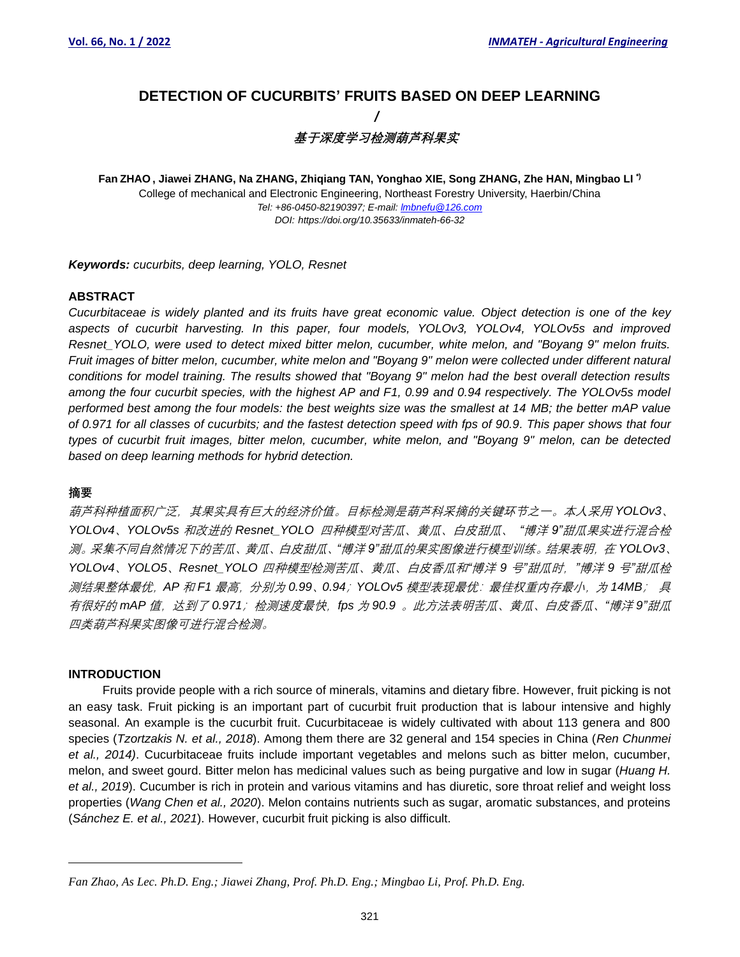# **DETECTION OF CUCURBITS' FRUITS BASED ON DEEP LEARNING /**

# **基于深度学习检测葫芦科果实**

**Fan ZHAO , Jiawei ZHANG, Na ZHANG, Zhiqiang TAN, Yonghao XIE, Song ZHANG, Zhe HAN, Mingbao LI \*)** College of mechanical and Electronic Engineering, Northeast Forestry University, Haerbin/China *Tel: +86-0450-82190397; E-mail[: lmbnefu@126.com](mailto:lmbnefu@126.com) DOI: https://doi.org/10.35633/inmateh-66-32*

*Keywords: cucurbits, deep learning, YOLO, Resnet*

## **ABSTRACT**

*Cucurbitaceae is widely planted and its fruits have great economic value. Object detection is one of the key aspects of cucurbit harvesting. In this paper, four models, YOLOv3, YOLOv4, YOLOv5s and improved Resnet\_YOLO, were used to detect mixed bitter melon, cucumber, white melon, and "Boyang 9" melon fruits. Fruit images of bitter melon, cucumber, white melon and "Boyang 9" melon were collected under different natural conditions for model training. The results showed that "Boyang 9" melon had the best overall detection results among the four cucurbit species, with the highest AP and F1, 0.99 and 0.94 respectively. The YOLOv5s model performed best among the four models: the best weights size was the smallest at 14 MB; the better mAP value of 0.971 for all classes of cucurbits; and the fastest detection speed with fps of 90.9. This paper shows that four types of cucurbit fruit images, bitter melon, cucumber, white melon, and "Boyang 9" melon, can be detected based on deep learning methods for hybrid detection.*

## **摘要**

葫芦科种植面积广泛,其果实具有巨大的经济价值。目标检测是葫芦科采摘的关键环节之一。本人采用 *YOLOv3*、 *YOLOv4*、*YOLOv5s* 和改进的 *Resnet\_YOLO* 四种模型对苦瓜、黄瓜、白皮甜瓜、 *"*博洋 *9"*甜瓜果实进行混合检 测。采集不同自然情况下的苦瓜、黄瓜、白皮甜瓜、*"*博洋 *9"*甜瓜的果实图像进行模型训练。结果表明,在 *YOLOv3*、 *YOLOv4*、*YOLO5*、*Resnet\_YOLO* 四种模型检测苦瓜、黄瓜、白皮香瓜和*"*博洋 *9* 号*"*甜瓜时,*"*博洋 *9* 号*"*甜瓜检 测结果整体最优,*AP* 和 *F1* 最高,分别为 *0.99*、*0.94*;*YOLOv5* 模型表现最优:最佳权重内存最小,为 *14MB*; 具 有很好的 *mAP* 值,达到了 *0.971*;检测速度最快,*fps* 为 *90.9* 。此方法表明苦瓜、黄瓜、白皮香瓜、*"*博洋 *9"*甜瓜 四类葫芦科果实图像可进行混合检测。

#### **INTRODUCTION**

Fruits provide people with a rich source of minerals, vitamins and dietary fibre. However, fruit picking is not an easy task. Fruit picking is an important part of cucurbit fruit production that is labour intensive and highly seasonal. An example is the cucurbit fruit. Cucurbitaceae is widely cultivated with about 113 genera and 800 species (*Tzortzakis N. et al., 2018*). Among them there are 32 general and 154 species in China (*Ren Chunmei et al., 2014)*. Cucurbitaceae fruits include important vegetables and melons such as bitter melon, cucumber, melon, and sweet gourd. Bitter melon has medicinal values such as being purgative and low in sugar (*Huang H. et al., 2019*). Cucumber is rich in protein and various vitamins and has diuretic, sore throat relief and weight loss properties (*Wang Chen et al., 2020*). Melon contains nutrients such as sugar, aromatic substances, and proteins (*Sánchez E. et al., 2021*). However, cucurbit fruit picking is also difficult.

*Fan Zhao, As Lec. Ph.D. Eng.; Jiawei Zhang, Prof. Ph.D. Eng.; Mingbao Li, Prof. Ph.D. Eng.*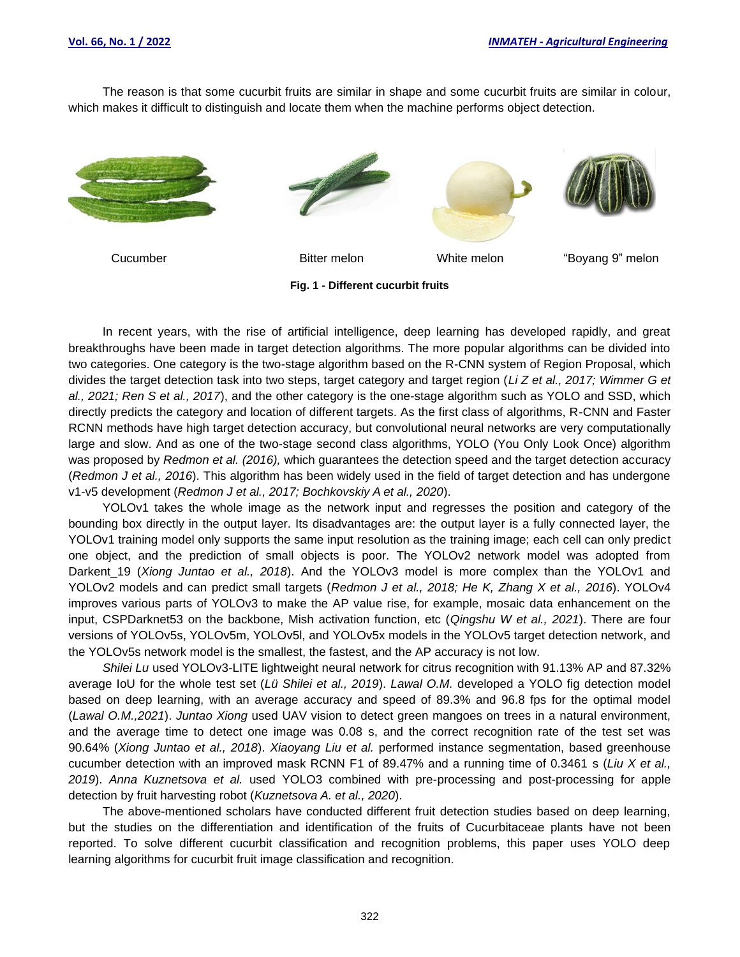The reason is that some cucurbit fruits are similar in shape and some cucurbit fruits are similar in colour, which makes it difficult to distinguish and locate them when the machine performs object detection.









Cucumber Bitter melon White melon "Boyang 9" melon

**Fig. 1 - Different cucurbit fruits**

In recent years, with the rise of artificial intelligence, deep learning has developed rapidly, and great breakthroughs have been made in target detection algorithms. The more popular algorithms can be divided into two categories. One category is the two-stage algorithm based on the R-CNN system of Region Proposal, which divides the target detection task into two steps, target category and target region (*Li Z et al., 2017; Wimmer G et al., 2021; Ren S et al., 2017*), and the other category is the one-stage algorithm such as YOLO and SSD, which directly predicts the category and location of different targets. As the first class of algorithms, R-CNN and Faster RCNN methods have high target detection accuracy, but convolutional neural networks are very computationally large and slow. And as one of the two-stage second class algorithms, YOLO (You Only Look Once) algorithm was proposed by *Redmon et al. (2016),* which guarantees the detection speed and the target detection accuracy (*Redmon J et al., 2016*). This algorithm has been widely used in the field of target detection and has undergone v1-v5 development (*Redmon J et al., 2017; Bochkovskiy A et al., 2020*).

YOLOv1 takes the whole image as the network input and regresses the position and category of the bounding box directly in the output layer. Its disadvantages are: the output layer is a fully connected layer, the YOLOv1 training model only supports the same input resolution as the training image; each cell can only predict one object, and the prediction of small objects is poor. The YOLOv2 network model was adopted from Darkent\_19 (*Xiong Juntao et al., 2018*). And the YOLOv3 model is more complex than the YOLOv1 and YOLOv2 models and can predict small targets (*Redmon J et al., 2018; He K, Zhang X et al., 2016*). YOLOv4 improves various parts of YOLOv3 to make the AP value rise, for example, mosaic data enhancement on the input, CSPDarknet53 on the backbone, Mish activation function, etc (*Qingshu W et al., 2021*). There are four versions of YOLOv5s, YOLOv5m, YOLOv5l, and YOLOv5x models in the YOLOv5 target detection network, and the YOLOv5s network model is the smallest, the fastest, and the AP accuracy is not low.

*Shilei Lu* used YOLOv3-LITE lightweight neural network for citrus recognition with 91.13% AP and 87.32% average IoU for the whole test set (*Lü Shilei et al., 2019*). *Lawal O.M.* developed a YOLO fig detection model based on deep learning, with an average accuracy and speed of 89.3% and 96.8 fps for the optimal model (*Lawal O.M.,2021*). *Juntao Xiong* used UAV vision to detect green mangoes on trees in a natural environment, and the average time to detect one image was 0.08 s, and the correct recognition rate of the test set was 90.64% (*Xiong Juntao et al., 2018*). *Xiaoyang Liu et al.* performed instance segmentation, based greenhouse cucumber detection with an improved mask RCNN F1 of 89.47% and a running time of 0.3461 s (*Liu X et al., 2019*). *Anna Kuznetsova et al.* used YOLO3 combined with pre-processing and post-processing for apple detection by fruit harvesting robot (*Kuznetsova A. et al., 2020*).

The above-mentioned scholars have conducted different fruit detection studies based on deep learning, but the studies on the differentiation and identification of the fruits of Cucurbitaceae plants have not been reported. To solve different cucurbit classification and recognition problems, this paper uses YOLO deep learning algorithms for cucurbit fruit image classification and recognition.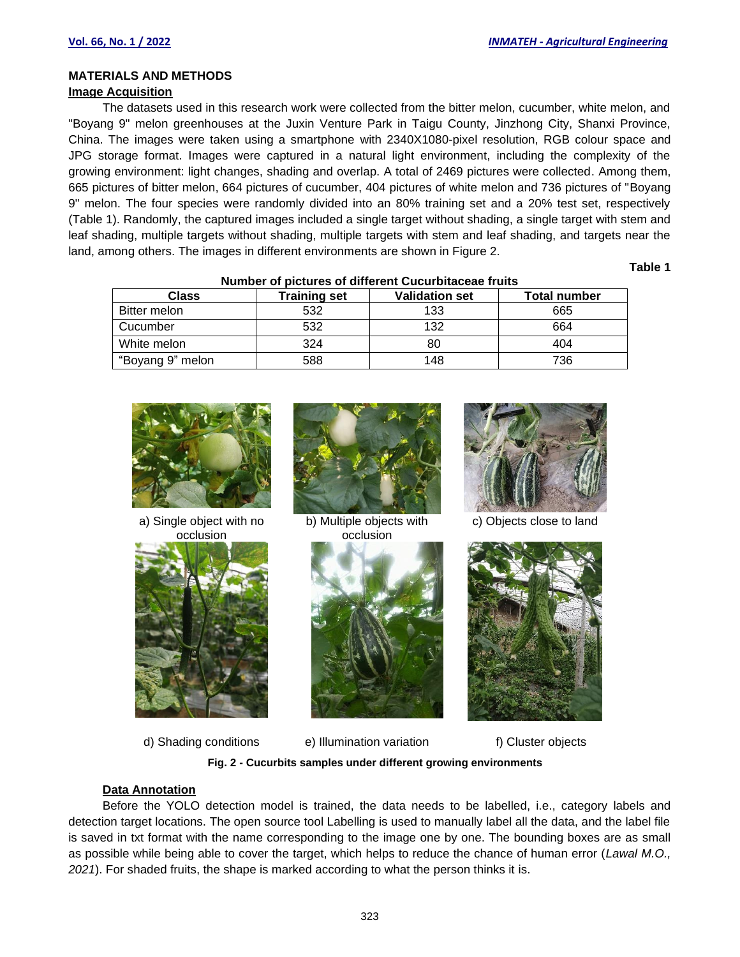# **MATERIALS AND METHODS**

# **Image Acquisition**

The datasets used in this research work were collected from the bitter melon, cucumber, white melon, and "Boyang 9" melon greenhouses at the Juxin Venture Park in Taigu County, Jinzhong City, Shanxi Province, China. The images were taken using a smartphone with 2340X1080-pixel resolution, RGB colour space and JPG storage format. Images were captured in a natural light environment, including the complexity of the growing environment: light changes, shading and overlap. A total of 2469 pictures were collected. Among them, 665 pictures of bitter melon, 664 pictures of cucumber, 404 pictures of white melon and 736 pictures of "Boyang 9" melon. The four species were randomly divided into an 80% training set and a 20% test set, respectively (Table 1). Randomly, the captured images included a single target without shading, a single target with stem and leaf shading, multiple targets without shading, multiple targets with stem and leaf shading, and targets near the land, among others. The images in different environments are shown in Figure 2.

**Table 1**

| nambol ol biotaroo ol amoront ouvarbituotao marto |                     |                       |                     |  |
|---------------------------------------------------|---------------------|-----------------------|---------------------|--|
| <b>Class</b>                                      | <b>Training set</b> | <b>Validation set</b> | <b>Total number</b> |  |
| <b>Bitter melon</b>                               | 532                 | 133                   | 665                 |  |
| Cucumber                                          | 532                 | 132                   | 664                 |  |
| White melon                                       | 324                 | 80                    | 404                 |  |
| "Boyang 9" melon                                  | 588                 | 148                   | 736                 |  |

#### **Number of pictures of different Cucurbitaceae fruits**



a) Single object with no occlusion



d) Shading conditions e) Illumination variation f) Cluster objects



b) Multiple objects with occlusion





c) Objects close to land



**Fig. 2 - Cucurbits samples under different growing environments**

## **Data Annotation**

Before the YOLO detection model is trained, the data needs to be labelled, i.e., category labels and detection target locations. The open source tool Labelling is used to manually label all the data, and the label file is saved in txt format with the name corresponding to the image one by one. The bounding boxes are as small as possible while being able to cover the target, which helps to reduce the chance of human error (*Lawal M.O., 2021*). For shaded fruits, the shape is marked according to what the person thinks it is.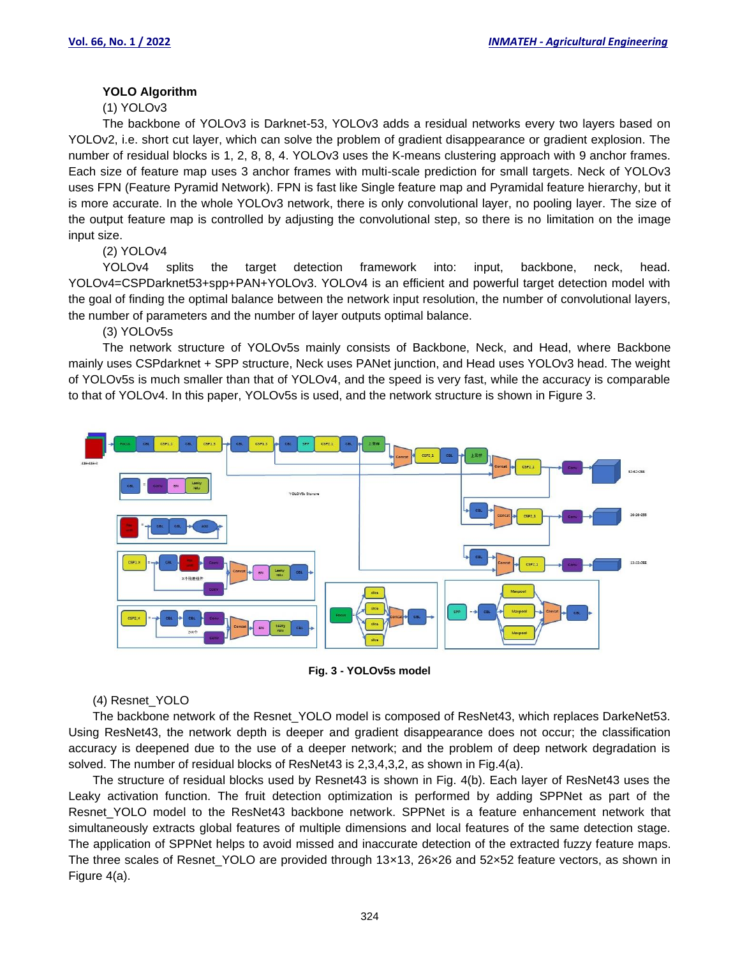# **YOLO Algorithm**

(1) YOLOv3

The backbone of YOLOv3 is Darknet-53, YOLOv3 adds a residual networks every two layers based on YOLOv2, i.e. short cut layer, which can solve the problem of gradient disappearance or gradient explosion. The number of residual blocks is 1, 2, 8, 8, 4. YOLOv3 uses the K-means clustering approach with 9 anchor frames. Each size of feature map uses 3 anchor frames with multi-scale prediction for small targets. Neck of YOLOv3 uses FPN (Feature Pyramid Network). FPN is fast like Single feature map and Pyramidal feature hierarchy, but it is more accurate. In the whole YOLOv3 network, there is only convolutional layer, no pooling layer. The size of the output feature map is controlled by adjusting the convolutional step, so there is no limitation on the image input size.

(2) YOLOv4

YOLOv4 splits the target detection framework into: input, backbone, neck, head. YOLOv4=CSPDarknet53+spp+PAN+YOLOv3. YOLOv4 is an efficient and powerful target detection model with the goal of finding the optimal balance between the network input resolution, the number of convolutional layers, the number of parameters and the number of layer outputs optimal balance.

(3) YOLOv5s

The network structure of YOLOv5s mainly consists of Backbone, Neck, and Head, where Backbone mainly uses CSPdarknet + SPP structure, Neck uses PANet junction, and Head uses YOLOv3 head. The weight of YOLOv5s is much smaller than that of YOLOv4, and the speed is very fast, while the accuracy is comparable to that of YOLOv4. In this paper, YOLOv5s is used, and the network structure is shown in Figure 3.



**Fig. 3 - YOLOv5s model**

## (4) Resnet\_YOLO

The backbone network of the Resnet YOLO model is composed of ResNet43, which replaces DarkeNet53. Using ResNet43, the network depth is deeper and gradient disappearance does not occur; the classification accuracy is deepened due to the use of a deeper network; and the problem of deep network degradation is solved. The number of residual blocks of ResNet43 is 2,3,4,3,2, as shown in Fig.4(a).

The structure of residual blocks used by Resnet43 is shown in Fig. 4(b). Each layer of ResNet43 uses the Leaky activation function. The fruit detection optimization is performed by adding SPPNet as part of the Resnet YOLO model to the ResNet43 backbone network. SPPNet is a feature enhancement network that simultaneously extracts global features of multiple dimensions and local features of the same detection stage. The application of SPPNet helps to avoid missed and inaccurate detection of the extracted fuzzy feature maps. The three scales of Resnet\_YOLO are provided through 13×13, 26×26 and 52×52 feature vectors, as shown in Figure 4(a).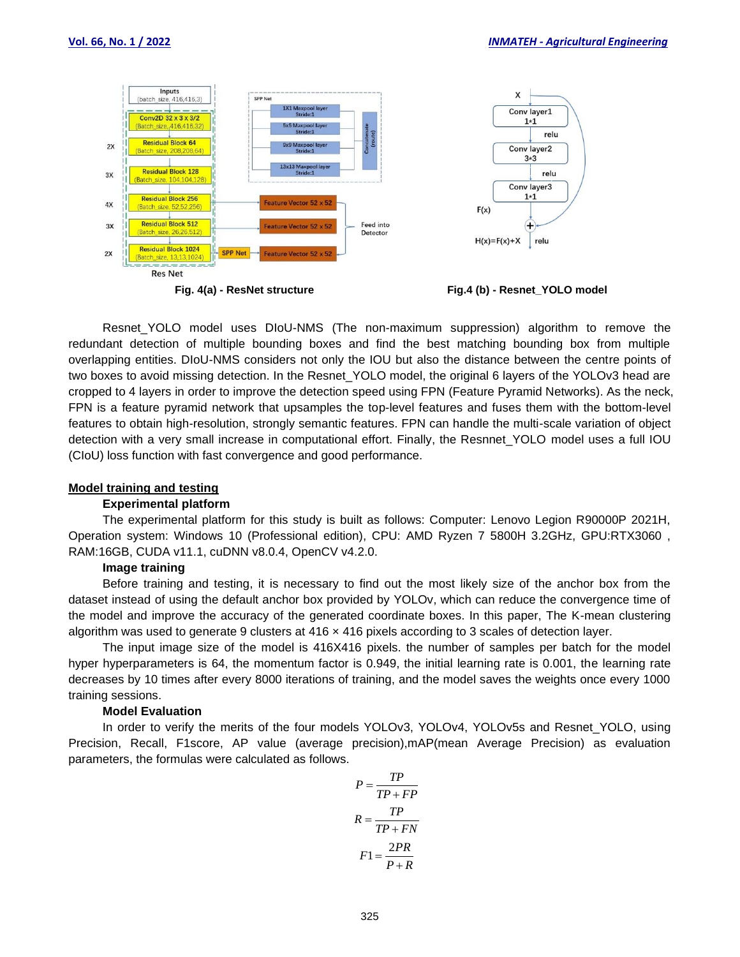

Resnet YOLO model uses DIoU-NMS (The non-maximum suppression) algorithm to remove the redundant detection of multiple bounding boxes and find the best matching bounding box from multiple overlapping entities. DIoU-NMS considers not only the IOU but also the distance between the centre points of two boxes to avoid missing detection. In the Resnet YOLO model, the original 6 layers of the YOLOv3 head are cropped to 4 layers in order to improve the detection speed using FPN (Feature Pyramid Networks). As the neck, FPN is a feature pyramid network that upsamples the top-level features and fuses them with the bottom-level features to obtain high-resolution, strongly semantic features. FPN can handle the multi-scale variation of object detection with a very small increase in computational effort. Finally, the Resnnet YOLO model uses a full IOU (CIoU) loss function with fast convergence and good performance.

#### **Model training and testing**

#### **Experimental platform**

The experimental platform for this study is built as follows: Computer: Lenovo Legion R90000P 2021H, Operation system: Windows 10 (Professional edition), CPU: AMD Ryzen 7 5800H 3.2GHz, GPU:RTX3060 , RAM:16GB, CUDA v11.1, cuDNN v8.0.4, OpenCV v4.2.0.

#### **Image training**

Before training and testing, it is necessary to find out the most likely size of the anchor box from the dataset instead of using the default anchor box provided by YOLOv, which can reduce the convergence time of the model and improve the accuracy of the generated coordinate boxes. In this paper, The K-mean clustering algorithm was used to generate 9 clusters at 416 x 416 pixels according to 3 scales of detection layer.

The input image size of the model is 416X416 pixels. the number of samples per batch for the model hyper hyperparameters is 64, the momentum factor is 0.949, the initial learning rate is 0.001, the learning rate decreases by 10 times after every 8000 iterations of training, and the model saves the weights once every 1000 training sessions.

## **Model Evaluation**

In order to verify the merits of the four models YOLOv3, YOLOv4, YOLOv5s and Resnet\_YOLO, using Precision, Recall, F1score, AP value (average precision),mAP(mean Average Precision) as evaluation parameters, the formulas were calculated as follows.

$$
P = \frac{TP}{TP + FP}
$$

$$
R = \frac{TP}{TP + FN}
$$

$$
F1 = \frac{2PR}{P + R}
$$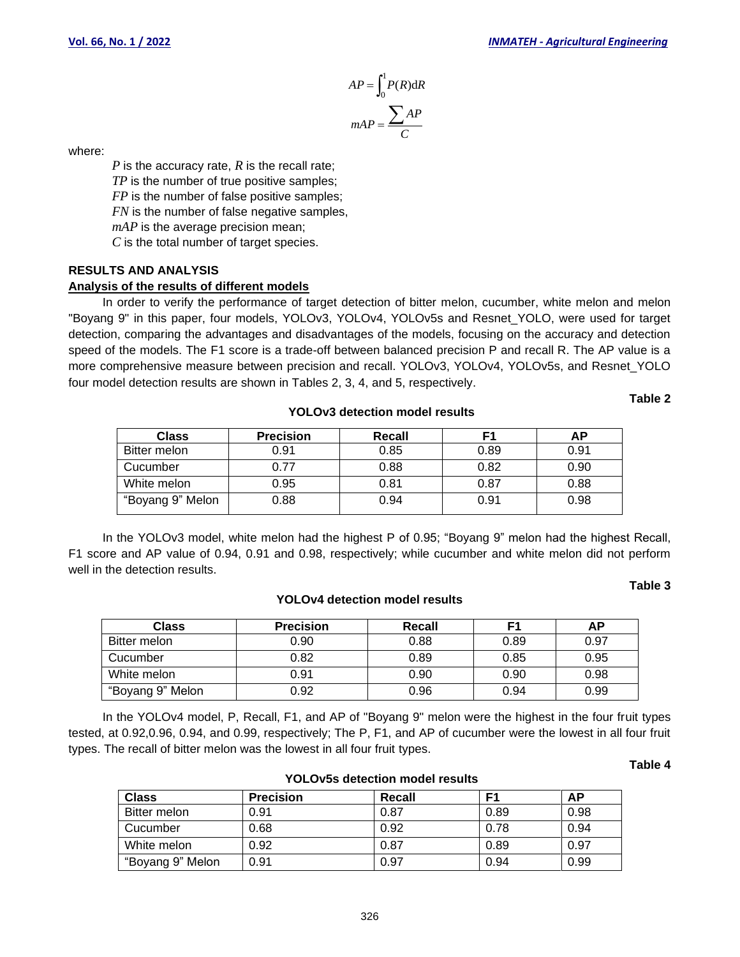$$
AP = \int_0^1 P(R) \, \mathrm{d}R
$$
\n
$$
mAP = \frac{\sum AP}{C}
$$

where:

*P* is the accuracy rate, *R* is the recall rate; *TP* is the number of true positive samples; *FP* is the number of false positive samples; *FN* is the number of false negative samples, *mAP* is the average precision mean; *C* is the total number of target species.

# **RESULTS AND ANALYSIS**

## **Analysis of the results of different models**

 $P = \int_{0}^{R} \frac{AP}{P} = \int_{0}^{R} \frac{AP}{P} = \int_{0}^{R} \frac{P}{P} = \frac{P}{P}$  and  $P = \frac{P}{P} = \frac{P}{P}$  and  $P = \frac{P}{P} = \frac{P}{P}$  and  $P = \frac{P}{P} = \frac{P}{P} = \frac{P}{P} = \frac{P}{P} = \frac{P}{P} = \frac{P}{P} = \frac{P}{P} = \frac{P}{P} = \frac{P}{P} = \frac{P}{P} = \frac{P}{P} = \frac{P}{P} = \frac{P}{P} = \frac$ In order to verify the performance of target detection of bitter melon, cucumber, white melon and melon "Boyang 9" in this paper, four models, YOLOv3, YOLOv4, YOLOv5s and Resnet\_YOLO, were used for target detection, comparing the advantages and disadvantages of the models, focusing on the accuracy and detection speed of the models. The F1 score is a trade-off between balanced precision P and recall R. The AP value is a more comprehensive measure between precision and recall. YOLOv3, YOLOv4, YOLOv5s, and Resnet\_YOLO four model detection results are shown in Tables 2, 3, 4, and 5, respectively.

**YOLOv3 detection model results**

## **Table 2**

| <b>Class</b>     | <b>Precision</b> | Recall |      | АΡ   |
|------------------|------------------|--------|------|------|
| Bitter melon     | 0.91             | 0.85   | 0.89 | 0.91 |
| Cucumber         | 0.77             | 0.88   | 0.82 | 0.90 |
| White melon      | 0.95             | 0.81   | 0.87 | 0.88 |
| "Boyang 9" Melon | 0.88             | 0.94   | 0.91 | 0.98 |

In the YOLOv3 model, white melon had the highest P of 0.95; "Boyang 9" melon had the highest Recall, F1 score and AP value of 0.94, 0.91 and 0.98, respectively; while cucumber and white melon did not perform well in the detection results.

**YOLOv4 detection model results**

### **Table 3**

| Class            | <b>Precision</b> | Recall |      | АΡ   |
|------------------|------------------|--------|------|------|
| Bitter melon     | 0.90             | 0.88   | 0.89 | 0.97 |
| Cucumber         | 0.82             | 0.89   | 0.85 | 0.95 |
| White melon      | 0.91             | 0.90   | 0.90 | 0.98 |
| "Boyang 9" Melon | 0.92             | 0.96   | 0.94 | 0.99 |

In the YOLOv4 model, P, Recall, F1, and AP of "Boyang 9" melon were the highest in the four fruit types tested, at 0.92,0.96, 0.94, and 0.99, respectively; The P, F1, and AP of cucumber were the lowest in all four fruit types. The recall of bitter melon was the lowest in all four fruit types.

#### **Table 4**

| <b>Class</b>        | <b>Precision</b> | Recall | F1   | АP   |
|---------------------|------------------|--------|------|------|
| <b>Bitter melon</b> | 0.91             | 0.87   | 0.89 | 0.98 |
| Cucumber            | 0.68             | 0.92   | 0.78 | 0.94 |
| White melon         | 0.92             | 0.87   | 0.89 | 0.97 |
| "Boyang 9" Melon    | 0.91             | 0.97   | 0.94 | 0.99 |

## **YOLOv5s detection model results**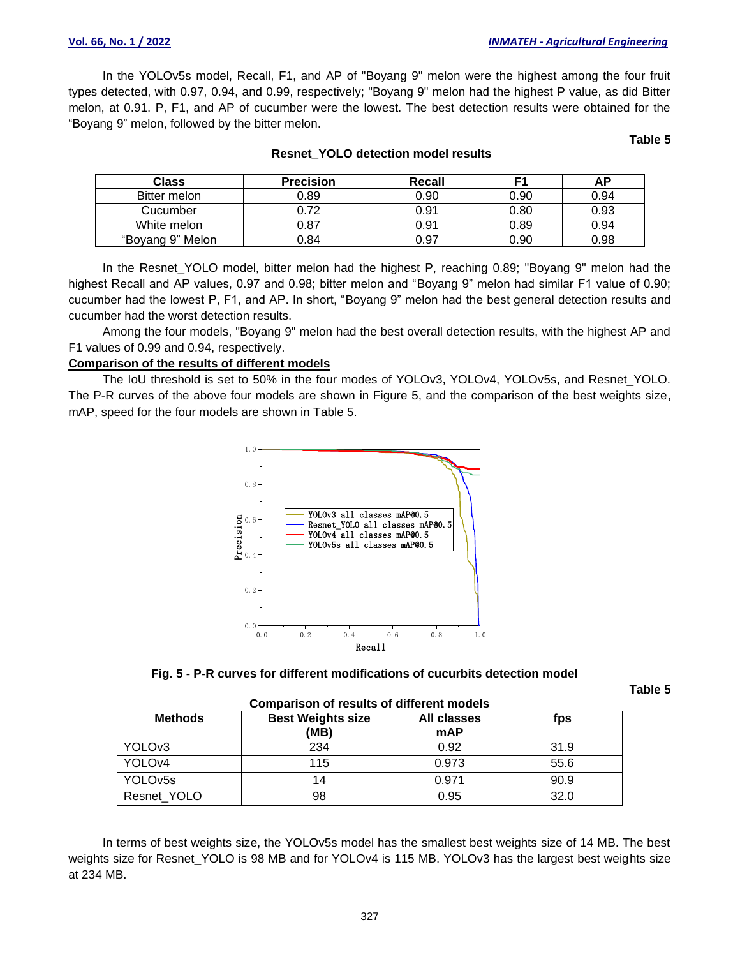In the YOLOv5s model, Recall, F1, and AP of "Boyang 9" melon were the highest among the four fruit types detected, with 0.97, 0.94, and 0.99, respectively; "Boyang 9" melon had the highest P value, as did Bitter melon, at 0.91. P, F1, and AP of cucumber were the lowest. The best detection results were obtained for the "Boyang 9" melon, followed by the bitter melon.

**Table 5**

| <b>Class</b>     | <b>Precision</b> | Recall |      | ΔD   |
|------------------|------------------|--------|------|------|
| Bitter melon     | 0.89             | 0.90   | 0.90 | 0.94 |
| Cucumber         | 0.72             | 0.91   | 0.80 | 0.93 |
| White melon      | 0.87             | 0.91   | 0.89 | 0.94 |
| "Boyang 9" Melon | ን.84             | 0.97   | 0.90 | 0.98 |

#### **Resnet\_YOLO detection model results**

In the Resnet YOLO model, bitter melon had the highest P, reaching 0.89; "Boyang 9" melon had the highest Recall and AP values, 0.97 and 0.98; bitter melon and "Boyang 9" melon had similar F1 value of 0.90; cucumber had the lowest P, F1, and AP. In short, "Boyang 9" melon had the best general detection results and cucumber had the worst detection results.

Among the four models, "Boyang 9" melon had the best overall detection results, with the highest AP and F1 values of 0.99 and 0.94, respectively.

## **Comparison of the results of different models**

The IoU threshold is set to 50% in the four modes of YOLOv3, YOLOv4, YOLOv5s, and Resnet\_YOLO. The P-R curves of the above four models are shown in Figure 5, and the comparison of the best weights size, mAP, speed for the four models are shown in Table 5.



**Fig. 5 - P-R curves for different modifications of cucurbits detection model**

**Table 5**

| <b>Comparison of results of different models</b> |                                  |                                  |      |  |
|--------------------------------------------------|----------------------------------|----------------------------------|------|--|
| <b>Methods</b>                                   | <b>Best Weights size</b><br>(MB) | <b>All classes</b><br><b>mAP</b> | fps  |  |
| YOLO <sub>v3</sub>                               | 234                              | 0.92                             | 31.9 |  |
| YOLOv4                                           | 115                              | 0.973                            | 55.6 |  |
| YOLOv <sub>5s</sub>                              | 14                               | 0.971                            | 90.9 |  |
| Resnet_YOLO                                      | 98                               | 0.95                             | 32.0 |  |

| Comparison of require of different models |  |  |
|-------------------------------------------|--|--|

In terms of best weights size, the YOLOv5s model has the smallest best weights size of 14 MB. The best weights size for Resnet YOLO is 98 MB and for YOLOv4 is 115 MB. YOLOv3 has the largest best weights size at 234 MB.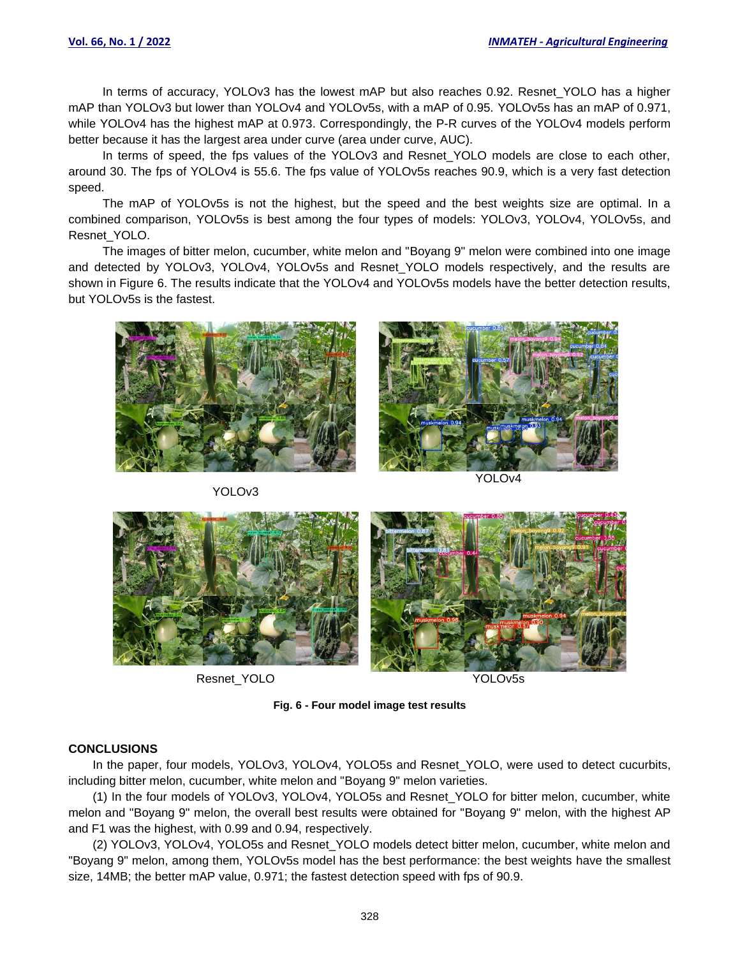In terms of accuracy, YOLOv3 has the lowest mAP but also reaches 0.92. Resnet YOLO has a higher mAP than YOLOv3 but lower than YOLOv4 and YOLOv5s, with a mAP of 0.95. YOLOv5s has an mAP of 0.971, while YOLOv4 has the highest mAP at 0.973. Correspondingly, the P-R curves of the YOLOv4 models perform better because it has the largest area under curve (area under curve, AUC).

In terms of speed, the fps values of the YOLOv3 and Resnet YOLO models are close to each other, around 30. The fps of YOLOv4 is 55.6. The fps value of YOLOv5s reaches 90.9, which is a very fast detection speed.

The mAP of YOLOv5s is not the highest, but the speed and the best weights size are optimal. In a combined comparison, YOLOv5s is best among the four types of models: YOLOv3, YOLOv4, YOLOv5s, and Resnet\_YOLO.

The images of bitter melon, cucumber, white melon and "Boyang 9" melon were combined into one image and detected by YOLOv3, YOLOv4, YOLOv5s and Resnet\_YOLO models respectively, and the results are shown in Figure 6. The results indicate that the YOLOv4 and YOLOv5s models have the better detection results, but YOLOv5s is the fastest.





YOLOv3

YOLOv4



Resnet\_YOLO YOLOv5s

**Fig. 6 - Four model image test results**

## **CONCLUSIONS**

In the paper, four models, YOLOv3, YOLOv4, YOLO5s and Resnet YOLO, were used to detect cucurbits, including bitter melon, cucumber, white melon and "Boyang 9" melon varieties.

(1) In the four models of YOLOv3, YOLOv4, YOLO5s and Resnet\_YOLO for bitter melon, cucumber, white melon and "Boyang 9" melon, the overall best results were obtained for "Boyang 9" melon, with the highest AP and F1 was the highest, with 0.99 and 0.94, respectively.

(2) YOLOv3, YOLOv4, YOLO5s and Resnet\_YOLO models detect bitter melon, cucumber, white melon and "Boyang 9" melon, among them, YOLOv5s model has the best performance: the best weights have the smallest size, 14MB; the better mAP value, 0.971; the fastest detection speed with fps of 90.9.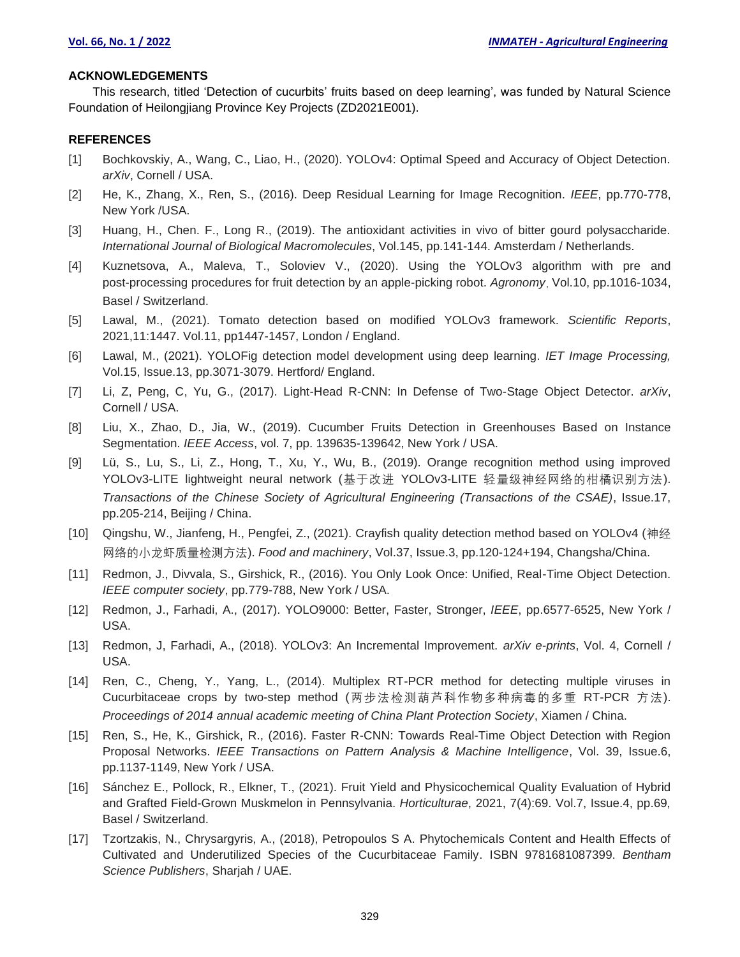#### **ACKNOWLEDGEMENTS**

This research, titled 'Detection of cucurbits' fruits based on deep learning', was funded by Natural Science Foundation of Heilongjiang Province Key Projects (ZD2021E001).

## **REFERENCES**

- [1] Bochkovskiy, A., Wang, C., Liao, H., (2020). YOLOv4: Optimal Speed and Accuracy of Object Detection. *arXiv*, Cornell / USA.
- [2] He, K., Zhang, X., Ren, S., (2016). Deep Residual Learning for Image Recognition. *IEEE*, pp.770-778, New York /USA.
- [3] Huang, H., Chen. F., Long R., (2019). The antioxidant activities in vivo of bitter gourd polysaccharide. *International Journal of Biological Macromolecules*, Vol.145, pp.141-144. Amsterdam / Netherlands.
- [4] Kuznetsova, A., Maleva, T., Soloviev V., (2020). Using the YOLOv3 algorithm with pre and post-processing procedures for fruit detection by an apple-picking robot. Agronomy, Vol.10, pp.1016-1034, Basel / Switzerland.
- [5] Lawal, M., (2021). Tomato detection based on modified YOLOv3 framework. *Scientific Reports*, 2021,11:1447. Vol.11, pp1447-1457, London / England.
- [6] Lawal, M., (2021). YOLOFig detection model development using deep learning. *IET Image Processing,* Vol.15, Issue.13, pp.3071-3079. Hertford/ England.
- [7] Li, Z, Peng, C, Yu, G., (2017). Light-Head R-CNN: In Defense of Two-Stage Object Detector. *arXiv*, Cornell / USA.
- [8] Liu, X., Zhao, D., Jia, W., (2019). Cucumber Fruits Detection in Greenhouses Based on Instance Segmentation. *IEEE Access*, vol. 7, pp. 139635-139642, New York / USA.
- [9] Lü, S., Lu, S., Li, Z., Hong, T., Xu, Y., Wu, B., (2019). Orange recognition method using improved YOLOv3-LITE lightweight neural network (基于改进 YOLOv3-LITE 轻量级神经网络的柑橘识别方法). *Transactions of the Chinese Society of Agricultural Engineering (Transactions of the CSAE)*, Issue.17, pp.205-214, Beijing / China.
- [10] Qingshu, W., Jianfeng, H., Pengfei, Z., (2021). Crayfish quality detection method based on YOLOv4 (神经 网络的小龙虾质量检测方法). *Food and machinery*, Vol.37, Issue.3, pp.120-124+194, Changsha/China.
- [11] Redmon, J., Divvala, S., Girshick, R., (2016). You Only Look Once: Unified, Real-Time Object Detection. *IEEE computer society*, pp.779-788, New York / USA.
- [12] Redmon, J., Farhadi, A., (2017). YOLO9000: Better, Faster, Stronger, *IEEE*, pp.6577-6525, New York / USA.
- [13] Redmon, J, Farhadi, A., (2018). YOLOv3: An Incremental Improvement. *arXiv e-prints*, Vol. 4, Cornell / USA.
- [14] Ren, C., Cheng, Y., Yang, L., (2014). Multiplex RT-PCR method for detecting multiple viruses in Cucurbitaceae crops by two-step method (两步法检测葫芦科作物多种病毒的多重 RT-PCR 方法). *Proceedings of 2014 annual academic meeting of China Plant Protection Society*, Xiamen / China.
- [15] Ren, S., He, K., Girshick, R., (2016). Faster R-CNN: Towards Real-Time Object Detection with Region Proposal Networks. *IEEE Transactions on Pattern Analysis & Machine Intelligence*, Vol. 39, Issue.6, pp.1137-1149, New York / USA.
- [16] Sánchez E., Pollock, R., Elkner, T., (2021). Fruit Yield and Physicochemical Quality Evaluation of Hybrid and Grafted Field-Grown Muskmelon in Pennsylvania. *Horticulturae*, 2021, 7(4):69. Vol.7, Issue.4, pp.69, Basel / Switzerland.
- [17] Tzortzakis, N., Chrysargyris, A., (2018), Petropoulos S A. Phytochemicals Content and Health Effects of Cultivated and Underutilized Species of the Cucurbitaceae Family. ISBN 9781681087399. *Bentham Science Publishers*, Sharjah / UAE.